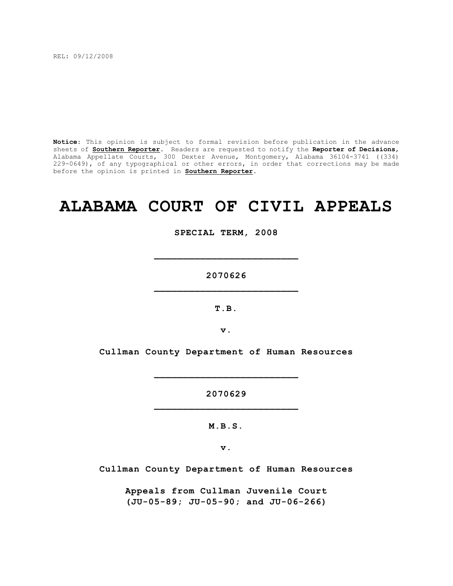REL: 09/12/2008

**Notice**: This opinion is subject to formal revision before publication in the advance sheets of **Southern Reporter**. Readers are requested to notify the **Reporter of Decisions**, Alabama Appellate Courts, 300 Dexter Avenue, Montgomery, Alabama 36104-3741 ((334) 229-0649), of any typographical or other errors, in order that corrections may be made before the opinion is printed in **Southern Reporter**.

# **ALABAMA COURT OF CIVIL APPEALS**

**SPECIAL TERM, 2008**

**2070626 \_\_\_\_\_\_\_\_\_\_\_\_\_\_\_\_\_\_\_\_\_\_\_\_\_**

**\_\_\_\_\_\_\_\_\_\_\_\_\_\_\_\_\_\_\_\_\_\_\_\_\_**

**T.B.**

**v.**

**Cullman County Department of Human Resources**

**2070629 \_\_\_\_\_\_\_\_\_\_\_\_\_\_\_\_\_\_\_\_\_\_\_\_\_**

**\_\_\_\_\_\_\_\_\_\_\_\_\_\_\_\_\_\_\_\_\_\_\_\_\_**

**M.B.S.**

**v.**

**Cullman County Department of Human Resources**

**Appeals from Cullman Juvenile Court (JU-05-89; JU-05-90; and JU-06-266)**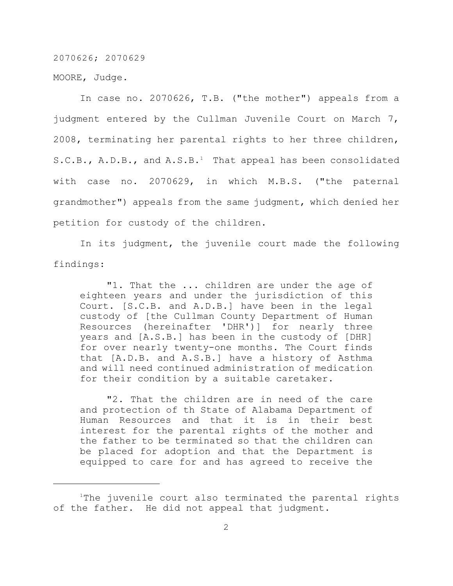MOORE, Judge.

In case no. 2070626, T.B. ("the mother") appeals from a judgment entered by the Cullman Juvenile Court on March 7, 2008, terminating her parental rights to her three children, S.C.B., A.D.B., and  $A.S.B.^1$  That appeal has been consolidated with case no. 2070629, in which M.B.S. ("the paternal grandmother") appeals from the same judgment, which denied her petition for custody of the children.

In its judgment, the juvenile court made the following findings:

"1. That the ... children are under the age of eighteen years and under the jurisdiction of this Court. [S.C.B. and A.D.B.] have been in the legal custody of [the Cullman County Department of Human Resources (hereinafter 'DHR')] for nearly three years and [A.S.B.] has been in the custody of [DHR] for over nearly twenty-one months. The Court finds that [A.D.B. and A.S.B.] have a history of Asthma and will need continued administration of medication for their condition by a suitable caretaker.

"2. That the children are in need of the care and protection of th State of Alabama Department of Human Resources and that it is in their best interest for the parental rights of the mother and the father to be terminated so that the children can be placed for adoption and that the Department is equipped to care for and has agreed to receive the

 $1$ The juvenile court also terminated the parental rights of the father. He did not appeal that judgment.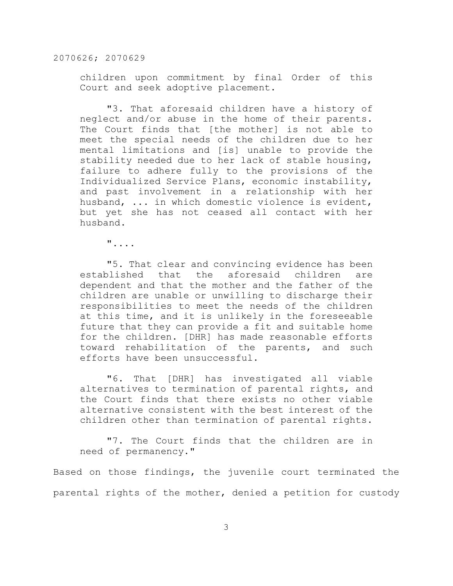children upon commitment by final Order of this Court and seek adoptive placement.

"3. That aforesaid children have a history of neglect and/or abuse in the home of their parents. The Court finds that [the mother] is not able to meet the special needs of the children due to her mental limitations and [is] unable to provide the stability needed due to her lack of stable housing, failure to adhere fully to the provisions of the Individualized Service Plans, economic instability, and past involvement in a relationship with her husband, ... in which domestic violence is evident, but yet she has not ceased all contact with her husband.

"....

"5. That clear and convincing evidence has been established that the aforesaid children are dependent and that the mother and the father of the children are unable or unwilling to discharge their responsibilities to meet the needs of the children at this time, and it is unlikely in the foreseeable future that they can provide a fit and suitable home for the children. [DHR] has made reasonable efforts toward rehabilitation of the parents, and such efforts have been unsuccessful.

"6. That [DHR] has investigated all viable alternatives to termination of parental rights, and the Court finds that there exists no other viable alternative consistent with the best interest of the children other than termination of parental rights.

"7. The Court finds that the children are in need of permanency."

Based on those findings, the juvenile court terminated the parental rights of the mother, denied a petition for custody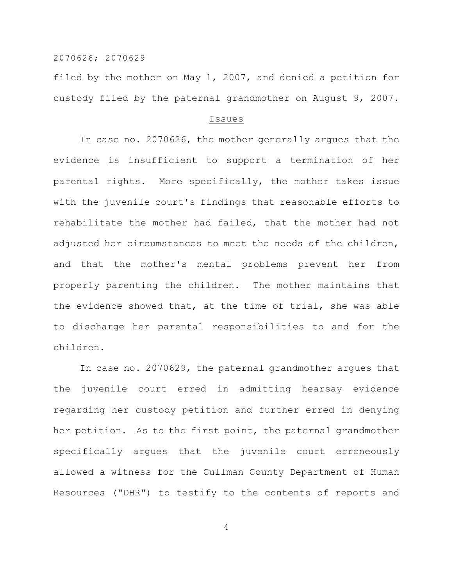filed by the mother on May 1, 2007, and denied a petition for custody filed by the paternal grandmother on August 9, 2007.

#### Issues

In case no. 2070626, the mother generally argues that the evidence is insufficient to support a termination of her parental rights. More specifically, the mother takes issue with the juvenile court's findings that reasonable efforts to rehabilitate the mother had failed, that the mother had not adjusted her circumstances to meet the needs of the children, and that the mother's mental problems prevent her from properly parenting the children. The mother maintains that the evidence showed that, at the time of trial, she was able to discharge her parental responsibilities to and for the children.

In case no. 2070629, the paternal grandmother argues that the juvenile court erred in admitting hearsay evidence regarding her custody petition and further erred in denying her petition. As to the first point, the paternal grandmother specifically argues that the juvenile court erroneously allowed a witness for the Cullman County Department of Human Resources ("DHR") to testify to the contents of reports and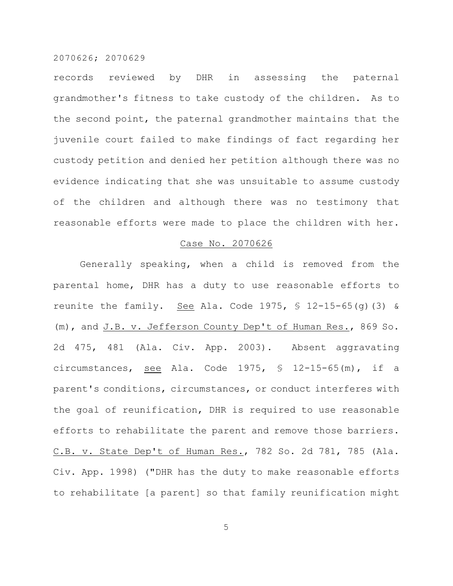records reviewed by DHR in assessing the paternal grandmother's fitness to take custody of the children. As to the second point, the paternal grandmother maintains that the juvenile court failed to make findings of fact regarding her custody petition and denied her petition although there was no evidence indicating that she was unsuitable to assume custody of the children and although there was no testimony that reasonable efforts were made to place the children with her.

#### Case No. 2070626

Generally speaking, when a child is removed from the parental home, DHR has a duty to use reasonable efforts to reunite the family. See Ala. Code 1975,  $\frac{1}{2}$  12-15-65(q)(3) & (m), and J.B. v. Jefferson County Dep't of Human Res., 869 So. 2d 475, 481 (Ala. Civ. App. 2003). Absent aggravating circumstances, see Ala. Code 1975, § 12-15-65(m), if a parent's conditions, circumstances, or conduct interferes with the goal of reunification, DHR is required to use reasonable efforts to rehabilitate the parent and remove those barriers. C.B. v. State Dep't of Human Res., 782 So. 2d 781, 785 (Ala. Civ. App. 1998) ("DHR has the duty to make reasonable efforts to rehabilitate [a parent] so that family reunification might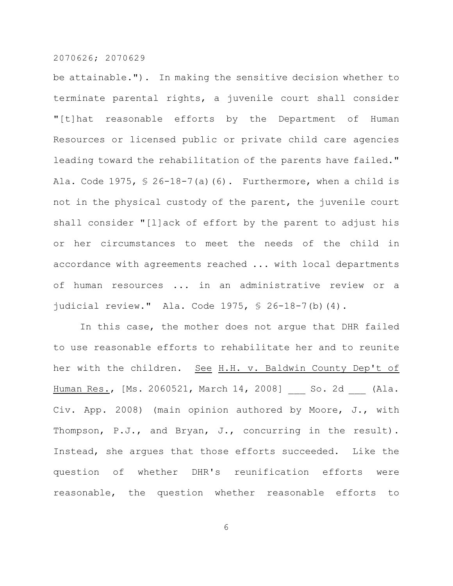be attainable."). In making the sensitive decision whether to terminate parental rights, a juvenile court shall consider "[t]hat reasonable efforts by the Department of Human Resources or licensed public or private child care agencies leading toward the rehabilitation of the parents have failed." Ala. Code 1975,  $\frac{1}{2}$  26-18-7(a)(6). Furthermore, when a child is not in the physical custody of the parent, the juvenile court shall consider "[l]ack of effort by the parent to adjust his or her circumstances to meet the needs of the child in accordance with agreements reached ... with local departments of human resources ... in an administrative review or a judicial review." Ala. Code 1975, § 26-18-7(b)(4).

In this case, the mother does not argue that DHR failed to use reasonable efforts to rehabilitate her and to reunite her with the children. See H.H. v. Baldwin County Dep't of Human Res., [Ms. 2060521, March 14, 2008] So. 2d (Ala. Civ. App. 2008) (main opinion authored by Moore, J., with Thompson, P.J., and Bryan, J., concurring in the result). Instead, she argues that those efforts succeeded. Like the question of whether DHR's reunification efforts were reasonable, the question whether reasonable efforts to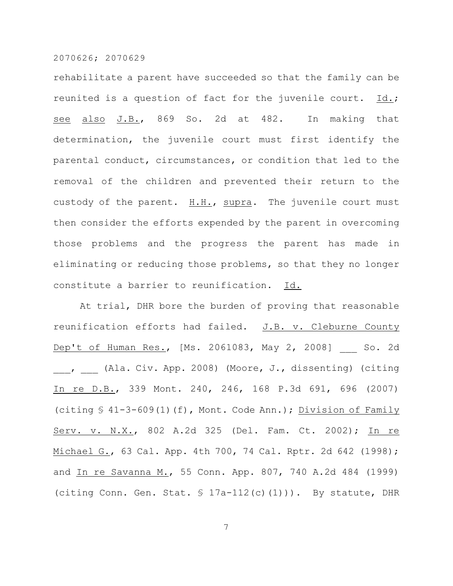rehabilitate a parent have succeeded so that the family can be reunited is a question of fact for the juvenile court. Id.; see also J.B., 869 So. 2d at 482. In making that determination, the juvenile court must first identify the parental conduct, circumstances, or condition that led to the removal of the children and prevented their return to the custody of the parent. H.H., supra. The juvenile court must then consider the efforts expended by the parent in overcoming those problems and the progress the parent has made in eliminating or reducing those problems, so that they no longer constitute a barrier to reunification. Id.

At trial, DHR bore the burden of proving that reasonable reunification efforts had failed. J.B. v. Cleburne County Dep't of Human Res., [Ms. 2061083, May 2, 2008] So. 2d \_\_\_, \_\_\_ (Ala. Civ. App. 2008) (Moore, J., dissenting) (citing In re D.B., 339 Mont. 240, 246, 168 P.3d 691, 696 (2007) (citing § 41-3-609(1)(f), Mont. Code Ann.); Division of Family Serv. v. N.X., 802 A.2d 325 (Del. Fam. Ct. 2002); In re Michael G., 63 Cal. App. 4th 700, 74 Cal. Rptr. 2d 642 (1998); and In re Savanna M., 55 Conn. App. 807, 740 A.2d 484 (1999) (citing Conn. Gen. Stat.  $\frac{1}{2}$  17a-112(c)(1))). By statute, DHR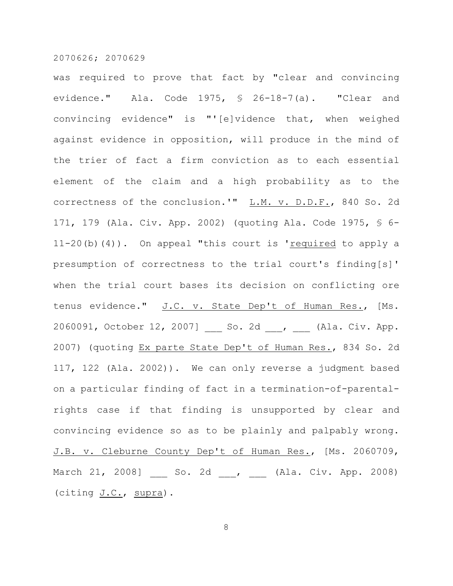was required to prove that fact by "clear and convincing evidence." Ala. Code 1975, § 26-18-7(a). "Clear and convincing evidence" is "'[e]vidence that, when weighed against evidence in opposition, will produce in the mind of the trier of fact a firm conviction as to each essential element of the claim and a high probability as to the correctness of the conclusion.'" L.M. v. D.D.F., 840 So. 2d 171, 179 (Ala. Civ. App. 2002) (quoting Ala. Code 1975, § 6-  $11-20$  (b) (4)). On appeal "this court is 'required to apply a presumption of correctness to the trial court's finding[s]' when the trial court bases its decision on conflicting ore tenus evidence." J.C. v. State Dep't of Human Res., [Ms. 2060091, October 12, 2007] \_\_\_ So. 2d \_\_\_, \_\_\_ (Ala. Civ. App. 2007) (quoting Ex parte State Dep't of Human Res., 834 So. 2d 117, 122 (Ala. 2002)). We can only reverse a judgment based on a particular finding of fact in a termination-of-parentalrights case if that finding is unsupported by clear and convincing evidence so as to be plainly and palpably wrong. J.B. v. Cleburne County Dep't of Human Res., [Ms. 2060709, March 21, 2008] So. 2d , (Ala. Civ. App. 2008) (citing J.C., supra).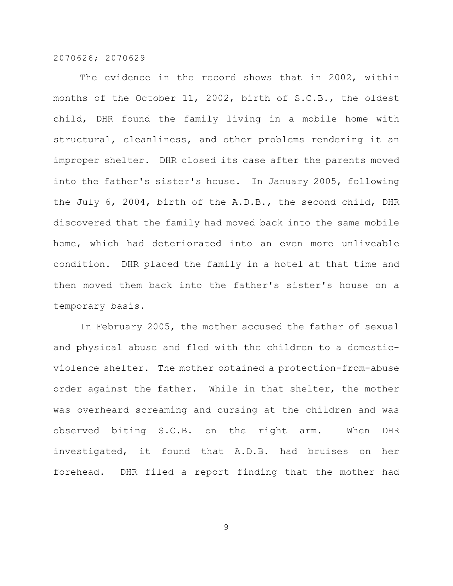The evidence in the record shows that in 2002, within months of the October 11, 2002, birth of S.C.B., the oldest child, DHR found the family living in a mobile home with structural, cleanliness, and other problems rendering it an improper shelter. DHR closed its case after the parents moved into the father's sister's house. In January 2005, following the July 6, 2004, birth of the A.D.B., the second child, DHR discovered that the family had moved back into the same mobile home, which had deteriorated into an even more unliveable condition. DHR placed the family in a hotel at that time and then moved them back into the father's sister's house on a temporary basis.

In February 2005, the mother accused the father of sexual and physical abuse and fled with the children to a domesticviolence shelter. The mother obtained a protection-from-abuse order against the father. While in that shelter, the mother was overheard screaming and cursing at the children and was observed biting S.C.B. on the right arm. When DHR investigated, it found that A.D.B. had bruises on her forehead. DHR filed a report finding that the mother had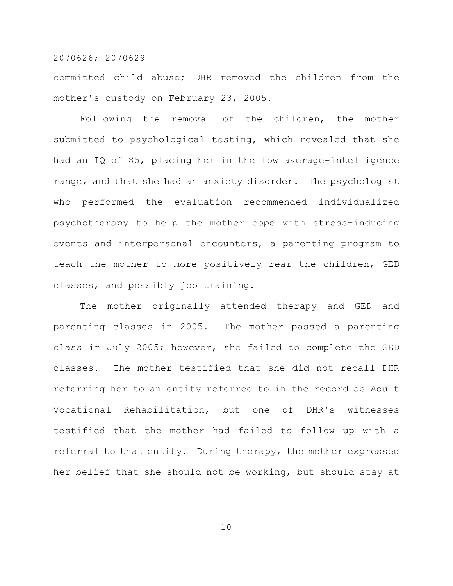committed child abuse; DHR removed the children from the mother's custody on February 23, 2005.

Following the removal of the children, the mother submitted to psychological testing, which revealed that she had an IQ of 85, placing her in the low average-intelligence range, and that she had an anxiety disorder. The psychologist who performed the evaluation recommended individualized psychotherapy to help the mother cope with stress-inducing events and interpersonal encounters, a parenting program to teach the mother to more positively rear the children, GED classes, and possibly job training.

The mother originally attended therapy and GED and parenting classes in 2005. The mother passed a parenting class in July 2005; however, she failed to complete the GED classes. The mother testified that she did not recall DHR referring her to an entity referred to in the record as Adult Vocational Rehabilitation, but one of DHR's witnesses testified that the mother had failed to follow up with a referral to that entity. During therapy, the mother expressed her belief that she should not be working, but should stay at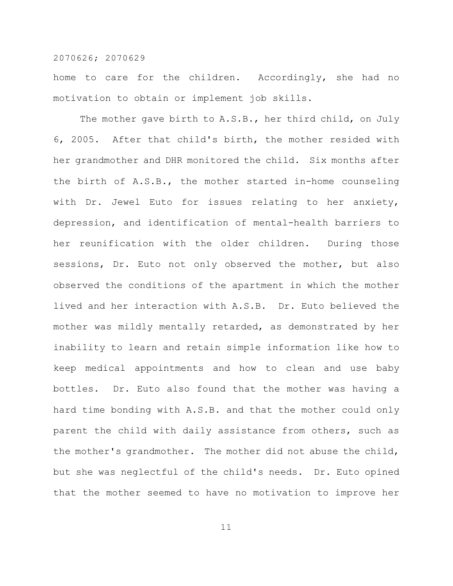home to care for the children. Accordingly, she had no motivation to obtain or implement job skills.

The mother gave birth to A.S.B., her third child, on July 6, 2005. After that child's birth, the mother resided with her grandmother and DHR monitored the child. Six months after the birth of A.S.B., the mother started in-home counseling with Dr. Jewel Euto for issues relating to her anxiety, depression, and identification of mental-health barriers to her reunification with the older children. During those sessions, Dr. Euto not only observed the mother, but also observed the conditions of the apartment in which the mother lived and her interaction with A.S.B. Dr. Euto believed the mother was mildly mentally retarded, as demonstrated by her inability to learn and retain simple information like how to keep medical appointments and how to clean and use baby bottles. Dr. Euto also found that the mother was having a hard time bonding with A.S.B. and that the mother could only parent the child with daily assistance from others, such as the mother's grandmother. The mother did not abuse the child, but she was neglectful of the child's needs. Dr. Euto opined that the mother seemed to have no motivation to improve her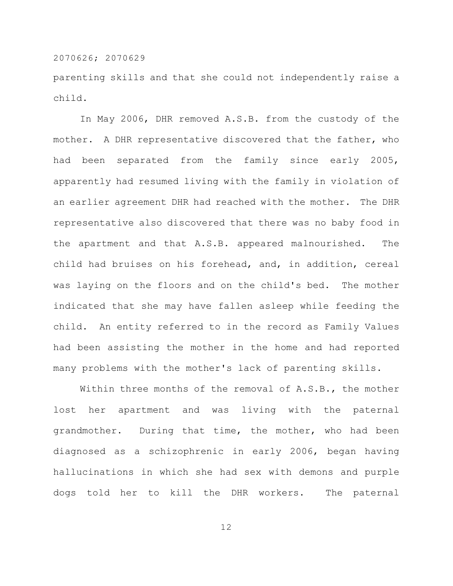parenting skills and that she could not independently raise a child.

In May 2006, DHR removed A.S.B. from the custody of the mother. A DHR representative discovered that the father, who had been separated from the family since early 2005, apparently had resumed living with the family in violation of an earlier agreement DHR had reached with the mother. The DHR representative also discovered that there was no baby food in the apartment and that A.S.B. appeared malnourished. The child had bruises on his forehead, and, in addition, cereal was laying on the floors and on the child's bed. The mother indicated that she may have fallen asleep while feeding the child. An entity referred to in the record as Family Values had been assisting the mother in the home and had reported many problems with the mother's lack of parenting skills.

Within three months of the removal of A.S.B., the mother lost her apartment and was living with the paternal grandmother. During that time, the mother, who had been diagnosed as a schizophrenic in early 2006, began having hallucinations in which she had sex with demons and purple dogs told her to kill the DHR workers. The paternal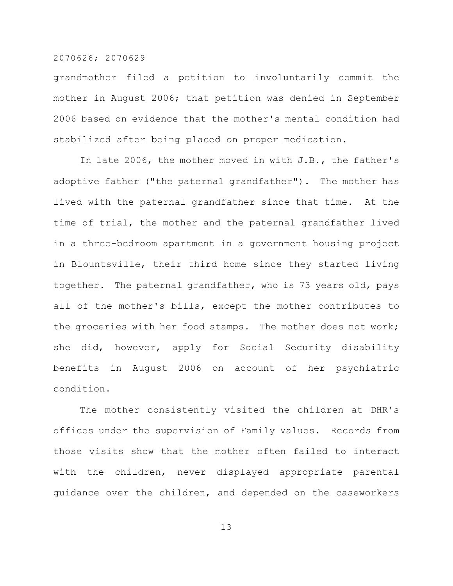grandmother filed a petition to involuntarily commit the mother in August 2006; that petition was denied in September 2006 based on evidence that the mother's mental condition had stabilized after being placed on proper medication.

In late 2006, the mother moved in with J.B., the father's adoptive father ("the paternal grandfather"). The mother has lived with the paternal grandfather since that time. At the time of trial, the mother and the paternal grandfather lived in a three-bedroom apartment in a government housing project in Blountsville, their third home since they started living together. The paternal grandfather, who is 73 years old, pays all of the mother's bills, except the mother contributes to the groceries with her food stamps. The mother does not work; she did, however, apply for Social Security disability benefits in August 2006 on account of her psychiatric condition.

The mother consistently visited the children at DHR's offices under the supervision of Family Values. Records from those visits show that the mother often failed to interact with the children, never displayed appropriate parental guidance over the children, and depended on the caseworkers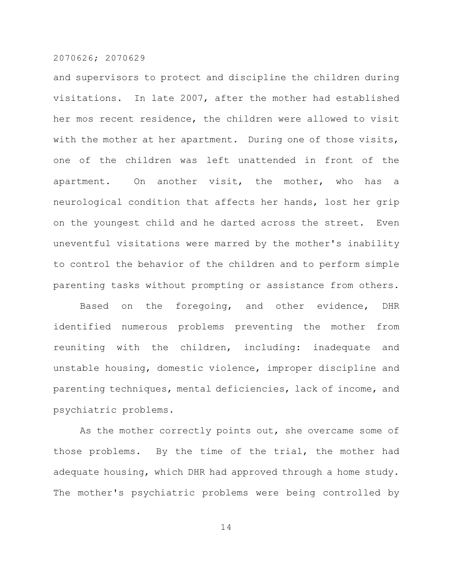and supervisors to protect and discipline the children during visitations. In late 2007, after the mother had established her mos recent residence, the children were allowed to visit with the mother at her apartment. During one of those visits, one of the children was left unattended in front of the apartment. On another visit, the mother, who has a neurological condition that affects her hands, lost her grip on the youngest child and he darted across the street. Even uneventful visitations were marred by the mother's inability to control the behavior of the children and to perform simple parenting tasks without prompting or assistance from others.

Based on the foregoing, and other evidence, DHR identified numerous problems preventing the mother from reuniting with the children, including: inadequate and unstable housing, domestic violence, improper discipline and parenting techniques, mental deficiencies, lack of income, and psychiatric problems.

As the mother correctly points out, she overcame some of those problems. By the time of the trial, the mother had adequate housing, which DHR had approved through a home study. The mother's psychiatric problems were being controlled by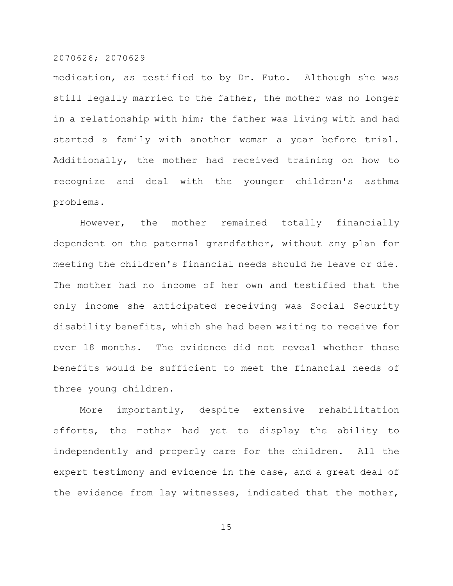medication, as testified to by Dr. Euto. Although she was still legally married to the father, the mother was no longer in a relationship with him; the father was living with and had started a family with another woman a year before trial. Additionally, the mother had received training on how to recognize and deal with the younger children's asthma problems.

However, the mother remained totally financially dependent on the paternal grandfather, without any plan for meeting the children's financial needs should he leave or die. The mother had no income of her own and testified that the only income she anticipated receiving was Social Security disability benefits, which she had been waiting to receive for over 18 months. The evidence did not reveal whether those benefits would be sufficient to meet the financial needs of three young children.

More importantly, despite extensive rehabilitation efforts, the mother had yet to display the ability to independently and properly care for the children. All the expert testimony and evidence in the case, and a great deal of the evidence from lay witnesses, indicated that the mother,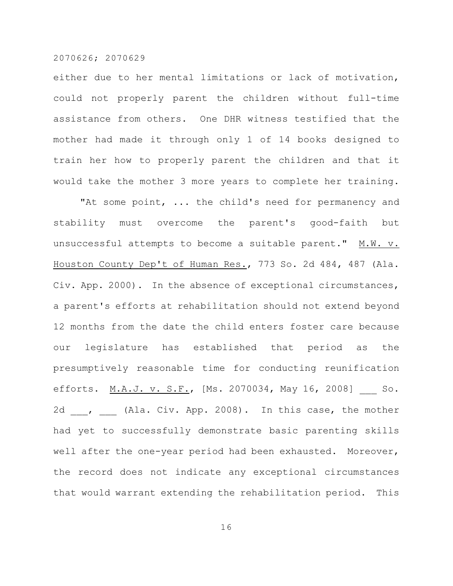either due to her mental limitations or lack of motivation, could not properly parent the children without full-time assistance from others. One DHR witness testified that the mother had made it through only 1 of 14 books designed to train her how to properly parent the children and that it would take the mother 3 more years to complete her training.

"At some point, ... the child's need for permanency and stability must overcome the parent's good-faith but unsuccessful attempts to become a suitable parent." M.W. v. Houston County Dep't of Human Res., 773 So. 2d 484, 487 (Ala. Civ. App. 2000). In the absence of exceptional circumstances, a parent's efforts at rehabilitation should not extend beyond 12 months from the date the child enters foster care because our legislature has established that period as the presumptively reasonable time for conducting reunification efforts. M.A.J. v. S.F., [Ms. 2070034, May 16, 2008] So. 2d , (Ala. Civ. App. 2008). In this case, the mother had yet to successfully demonstrate basic parenting skills well after the one-year period had been exhausted. Moreover, the record does not indicate any exceptional circumstances that would warrant extending the rehabilitation period. This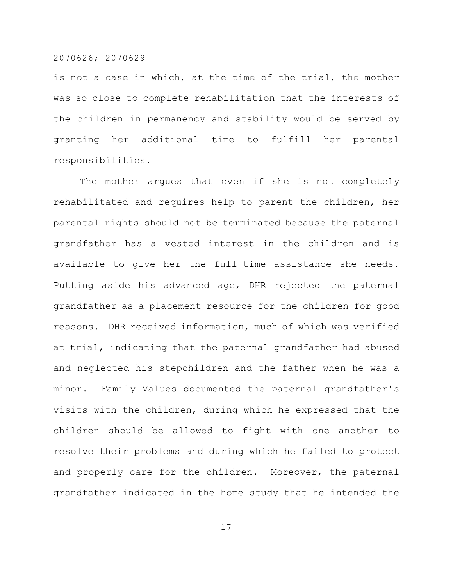is not a case in which, at the time of the trial, the mother was so close to complete rehabilitation that the interests of the children in permanency and stability would be served by granting her additional time to fulfill her parental responsibilities.

The mother argues that even if she is not completely rehabilitated and requires help to parent the children, her parental rights should not be terminated because the paternal grandfather has a vested interest in the children and is available to give her the full-time assistance she needs. Putting aside his advanced age, DHR rejected the paternal grandfather as a placement resource for the children for good reasons. DHR received information, much of which was verified at trial, indicating that the paternal grandfather had abused and neglected his stepchildren and the father when he was a minor. Family Values documented the paternal grandfather's visits with the children, during which he expressed that the children should be allowed to fight with one another to resolve their problems and during which he failed to protect and properly care for the children. Moreover, the paternal grandfather indicated in the home study that he intended the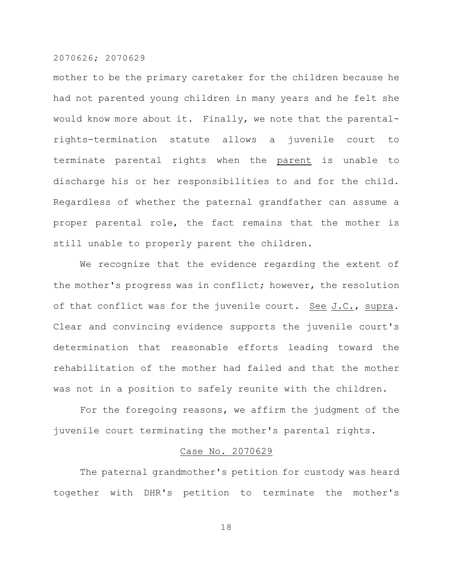mother to be the primary caretaker for the children because he had not parented young children in many years and he felt she would know more about it. Finally, we note that the parentalrights-termination statute allows a juvenile court to terminate parental rights when the parent is unable to discharge his or her responsibilities to and for the child. Regardless of whether the paternal grandfather can assume a proper parental role, the fact remains that the mother is still unable to properly parent the children.

We recognize that the evidence regarding the extent of the mother's progress was in conflict; however, the resolution of that conflict was for the juvenile court. See  $J.C.,$  supra. Clear and convincing evidence supports the juvenile court's determination that reasonable efforts leading toward the rehabilitation of the mother had failed and that the mother was not in a position to safely reunite with the children.

For the foregoing reasons, we affirm the judgment of the juvenile court terminating the mother's parental rights.

# Case No. 2070629

The paternal grandmother's petition for custody was heard together with DHR's petition to terminate the mother's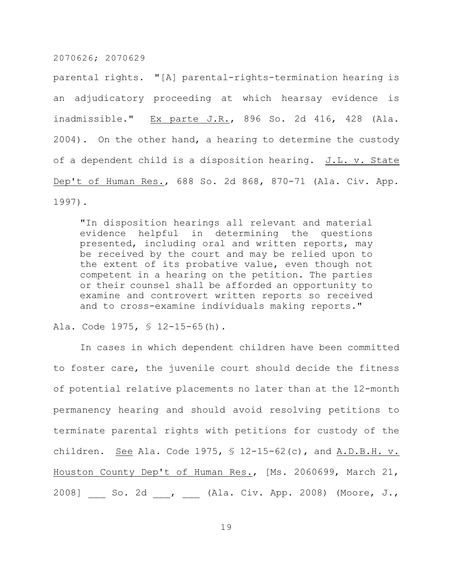parental rights. "[A] parental-rights-termination hearing is an adjudicatory proceeding at which hearsay evidence is inadmissible." Ex parte J.R., 896 So. 2d 416, 428 (Ala. 2004). On the other hand, a hearing to determine the custody of a dependent child is a disposition hearing. J.L. v. State Dep't of Human Res., 688 So. 2d 868, 870-71 (Ala. Civ. App. 1997).

"In disposition hearings all relevant and material evidence helpful in determining the questions presented, including oral and written reports, may be received by the court and may be relied upon to the extent of its probative value, even though not competent in a hearing on the petition. The parties or their counsel shall be afforded an opportunity to examine and controvert written reports so received and to cross-examine individuals making reports."

Ala. Code 1975, § 12-15-65(h).

In cases in which dependent children have been committed to foster care, the juvenile court should decide the fitness of potential relative placements no later than at the 12-month permanency hearing and should avoid resolving petitions to terminate parental rights with petitions for custody of the children. See Ala. Code 1975, § 12-15-62(c), and A.D.B.H. v. Houston County Dep't of Human Res., [Ms. 2060699, March 21, 2008] \_\_\_ So. 2d \_\_\_, \_\_\_ (Ala. Civ. App. 2008) (Moore, J.,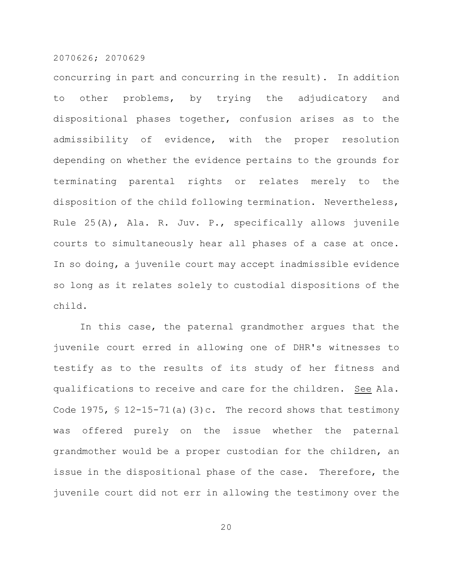concurring in part and concurring in the result). In addition to other problems, by trying the adjudicatory and dispositional phases together, confusion arises as to the admissibility of evidence, with the proper resolution depending on whether the evidence pertains to the grounds for terminating parental rights or relates merely to the disposition of the child following termination. Nevertheless, Rule 25(A), Ala. R. Juv. P., specifically allows juvenile courts to simultaneously hear all phases of a case at once. In so doing, a juvenile court may accept inadmissible evidence so long as it relates solely to custodial dispositions of the child.

In this case, the paternal grandmother argues that the juvenile court erred in allowing one of DHR's witnesses to testify as to the results of its study of her fitness and qualifications to receive and care for the children. See Ala. Code 1975,  $\frac{12-15-71}{a}(a)(3)c$ . The record shows that testimony was offered purely on the issue whether the paternal grandmother would be a proper custodian for the children, an issue in the dispositional phase of the case. Therefore, the juvenile court did not err in allowing the testimony over the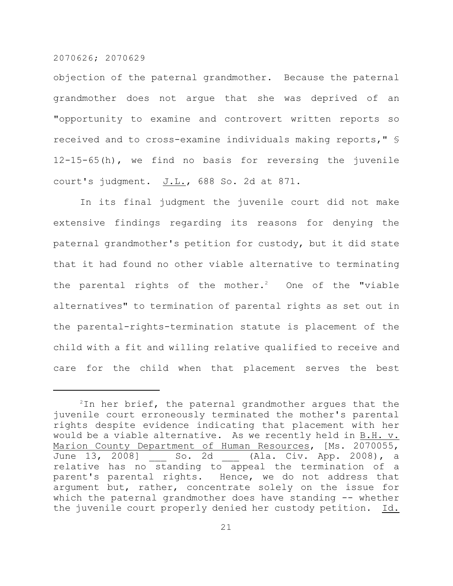objection of the paternal grandmother. Because the paternal grandmother does not argue that she was deprived of an "opportunity to examine and controvert written reports so received and to cross-examine individuals making reports," § 12-15-65(h), we find no basis for reversing the juvenile court's judgment.  $J.L.,$  688 So. 2d at 871.

In its final judgment the juvenile court did not make extensive findings regarding its reasons for denying the paternal grandmother's petition for custody, but it did state that it had found no other viable alternative to terminating the parental rights of the mother.<sup>2</sup> One of the "viable alternatives" to termination of parental rights as set out in the parental-rights-termination statute is placement of the child with a fit and willing relative qualified to receive and care for the child when that placement serves the best

 $2$ In her brief, the paternal grandmother argues that the juvenile court erroneously terminated the mother's parental rights despite evidence indicating that placement with her would be a viable alternative. As we recently held in B.H. v. Marion County Department of Human Resources, [Ms. 2070055, June 13, 2008] So. 2d (Ala. Civ. App. 2008), a relative has no standing to appeal the termination of a parent's parental rights. Hence, we do not address that argument but, rather, concentrate solely on the issue for which the paternal grandmother does have standing -- whether the juvenile court properly denied her custody petition. Id.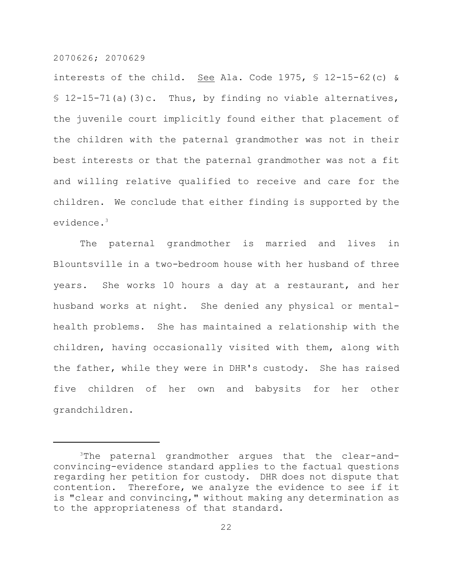interests of the child. See Ala. Code 1975,  $\frac{1}{2}$  12-15-62(c) &  $$12-15-71(a)(3)c.$  Thus, by finding no viable alternatives, the juvenile court implicitly found either that placement of the children with the paternal grandmother was not in their best interests or that the paternal grandmother was not a fit and willing relative qualified to receive and care for the children. We conclude that either finding is supported by the evidence.<sup>3</sup>

The paternal grandmother is married and lives in Blountsville in a two-bedroom house with her husband of three years. She works 10 hours a day at a restaurant, and her husband works at night. She denied any physical or mentalhealth problems. She has maintained a relationship with the children, having occasionally visited with them, along with the father, while they were in DHR's custody. She has raised five children of her own and babysits for her other grandchildren.

<sup>&</sup>lt;sup>3</sup>The paternal grandmother argues that the clear-andconvincing-evidence standard applies to the factual questions regarding her petition for custody. DHR does not dispute that contention. Therefore, we analyze the evidence to see if it is "clear and convincing," without making any determination as to the appropriateness of that standard.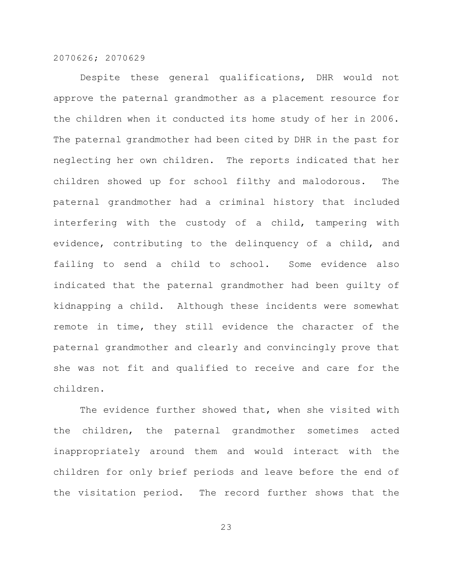Despite these general qualifications, DHR would not approve the paternal grandmother as a placement resource for the children when it conducted its home study of her in 2006. The paternal grandmother had been cited by DHR in the past for neglecting her own children. The reports indicated that her children showed up for school filthy and malodorous. The paternal grandmother had a criminal history that included interfering with the custody of a child, tampering with evidence, contributing to the delinquency of a child, and failing to send a child to school. Some evidence also indicated that the paternal grandmother had been guilty of kidnapping a child. Although these incidents were somewhat remote in time, they still evidence the character of the paternal grandmother and clearly and convincingly prove that she was not fit and qualified to receive and care for the children.

The evidence further showed that, when she visited with the children, the paternal grandmother sometimes acted inappropriately around them and would interact with the children for only brief periods and leave before the end of the visitation period. The record further shows that the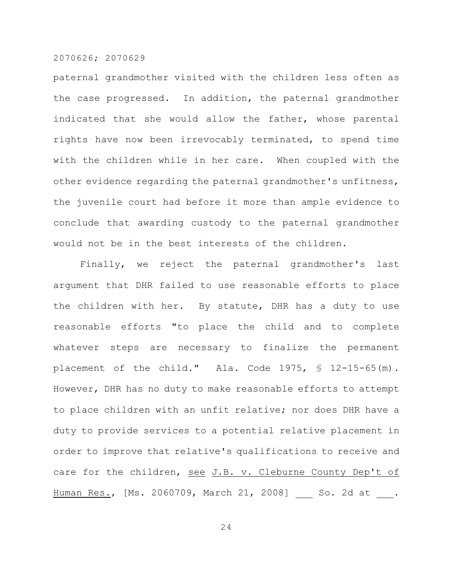paternal grandmother visited with the children less often as the case progressed. In addition, the paternal grandmother indicated that she would allow the father, whose parental rights have now been irrevocably terminated, to spend time with the children while in her care. When coupled with the other evidence regarding the paternal grandmother's unfitness, the juvenile court had before it more than ample evidence to conclude that awarding custody to the paternal grandmother would not be in the best interests of the children.

Finally, we reject the paternal grandmother's last argument that DHR failed to use reasonable efforts to place the children with her. By statute, DHR has a duty to use reasonable efforts "to place the child and to complete whatever steps are necessary to finalize the permanent placement of the child." Ala. Code 1975, § 12-15-65(m). However, DHR has no duty to make reasonable efforts to attempt to place children with an unfit relative; nor does DHR have a duty to provide services to a potential relative placement in order to improve that relative's qualifications to receive and care for the children, see J.B. v. Cleburne County Dep't of Human Res., [Ms. 2060709, March 21, 2008] So. 2d at .